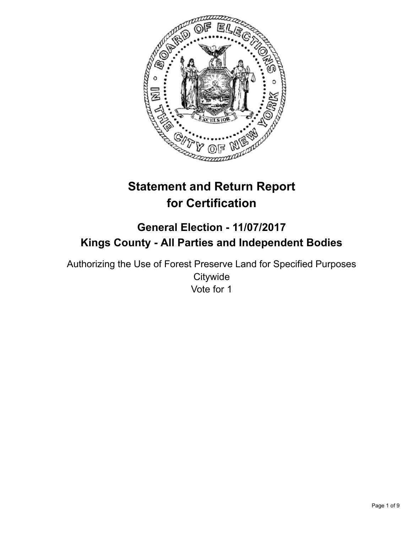

# **Statement and Return Report for Certification**

## **General Election - 11/07/2017 Kings County - All Parties and Independent Bodies**

Authorizing the Use of Forest Preserve Land for Specified Purposes **Citywide** Vote for 1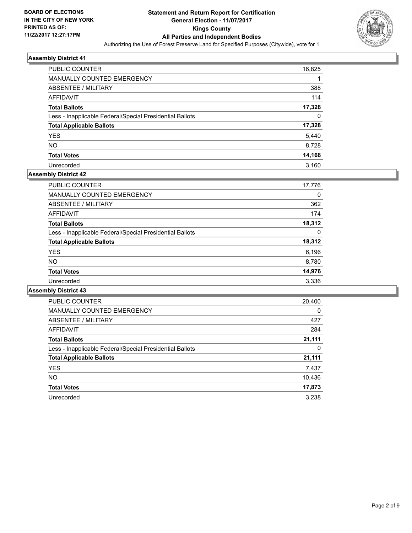

| PUBLIC COUNTER                                           | 16,825 |
|----------------------------------------------------------|--------|
| <b>MANUALLY COUNTED EMERGENCY</b>                        |        |
| ABSENTEE / MILITARY                                      | 388    |
| AFFIDAVIT                                                | 114    |
| <b>Total Ballots</b>                                     | 17,328 |
| Less - Inapplicable Federal/Special Presidential Ballots | 0      |
| <b>Total Applicable Ballots</b>                          | 17,328 |
| <b>YES</b>                                               | 5,440  |
| <b>NO</b>                                                | 8,728  |
| <b>Total Votes</b>                                       | 14,168 |
| Unrecorded                                               | 3.160  |

## **Assembly District 42**

| <b>PUBLIC COUNTER</b>                                    | 17.776 |
|----------------------------------------------------------|--------|
| <b>MANUALLY COUNTED EMERGENCY</b>                        | 0      |
| ABSENTEE / MILITARY                                      | 362    |
| AFFIDAVIT                                                | 174    |
| <b>Total Ballots</b>                                     | 18,312 |
| Less - Inapplicable Federal/Special Presidential Ballots | 0      |
| <b>Total Applicable Ballots</b>                          | 18,312 |
| <b>YES</b>                                               | 6,196  |
| <b>NO</b>                                                | 8,780  |
| <b>Total Votes</b>                                       | 14,976 |
| Unrecorded                                               | 3,336  |

| <b>PUBLIC COUNTER</b>                                    | 20,400 |
|----------------------------------------------------------|--------|
| <b>MANUALLY COUNTED EMERGENCY</b>                        | 0      |
| <b>ABSENTEE / MILITARY</b>                               | 427    |
| <b>AFFIDAVIT</b>                                         | 284    |
| <b>Total Ballots</b>                                     | 21,111 |
| Less - Inapplicable Federal/Special Presidential Ballots | 0      |
| <b>Total Applicable Ballots</b>                          | 21,111 |
| <b>YES</b>                                               | 7,437  |
| <b>NO</b>                                                | 10,436 |
| <b>Total Votes</b>                                       | 17,873 |
| Unrecorded                                               | 3.238  |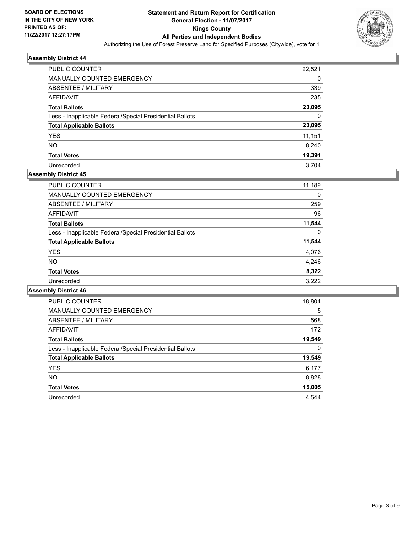

| <b>PUBLIC COUNTER</b>                                    | 22,521 |
|----------------------------------------------------------|--------|
| <b>MANUALLY COUNTED EMERGENCY</b>                        | 0      |
| ABSENTEE / MILITARY                                      | 339    |
| AFFIDAVIT                                                | 235    |
| <b>Total Ballots</b>                                     | 23,095 |
| Less - Inapplicable Federal/Special Presidential Ballots | 0      |
| <b>Total Applicable Ballots</b>                          | 23,095 |
| <b>YES</b>                                               | 11,151 |
| <b>NO</b>                                                | 8,240  |
| <b>Total Votes</b>                                       | 19,391 |
| Unrecorded                                               | 3.704  |

## **Assembly District 45**

| <b>PUBLIC COUNTER</b>                                    | 11,189 |
|----------------------------------------------------------|--------|
| <b>MANUALLY COUNTED EMERGENCY</b>                        | 0      |
| ABSENTEE / MILITARY                                      | 259    |
| AFFIDAVIT                                                | 96     |
| <b>Total Ballots</b>                                     | 11,544 |
| Less - Inapplicable Federal/Special Presidential Ballots | 0      |
| <b>Total Applicable Ballots</b>                          | 11,544 |
| <b>YES</b>                                               | 4,076  |
| <b>NO</b>                                                | 4,246  |
| <b>Total Votes</b>                                       | 8,322  |
| Unrecorded                                               | 3.222  |

| PUBLIC COUNTER                                           | 18,804 |
|----------------------------------------------------------|--------|
| <b>MANUALLY COUNTED EMERGENCY</b>                        | 5      |
| <b>ABSENTEE / MILITARY</b>                               | 568    |
| AFFIDAVIT                                                | 172    |
| <b>Total Ballots</b>                                     | 19,549 |
| Less - Inapplicable Federal/Special Presidential Ballots | 0      |
| <b>Total Applicable Ballots</b>                          | 19,549 |
| <b>YES</b>                                               | 6,177  |
| NO.                                                      | 8,828  |
| <b>Total Votes</b>                                       | 15,005 |
| Unrecorded                                               | 4.544  |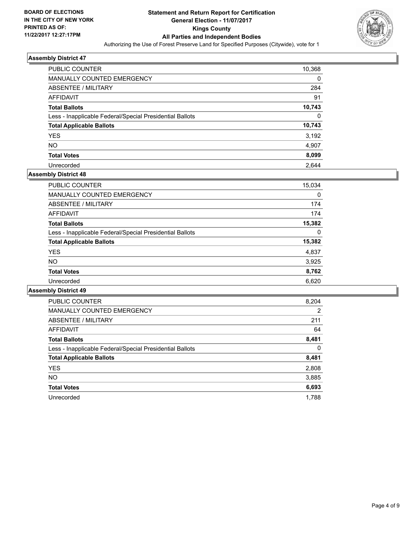

| <b>PUBLIC COUNTER</b>                                    | 10,368 |
|----------------------------------------------------------|--------|
| <b>MANUALLY COUNTED EMERGENCY</b>                        | 0      |
| ABSENTEE / MILITARY                                      | 284    |
| AFFIDAVIT                                                | 91     |
| <b>Total Ballots</b>                                     | 10,743 |
| Less - Inapplicable Federal/Special Presidential Ballots | 0      |
| <b>Total Applicable Ballots</b>                          | 10,743 |
| <b>YES</b>                                               | 3,192  |
| <b>NO</b>                                                | 4,907  |
| <b>Total Votes</b>                                       | 8,099  |
| Unrecorded                                               | 2.644  |

#### **Assembly District 48**

| <b>PUBLIC COUNTER</b>                                    | 15,034 |
|----------------------------------------------------------|--------|
| <b>MANUALLY COUNTED EMERGENCY</b>                        | 0      |
| ABSENTEE / MILITARY                                      | 174    |
| AFFIDAVIT                                                | 174    |
| <b>Total Ballots</b>                                     | 15,382 |
| Less - Inapplicable Federal/Special Presidential Ballots | 0      |
| <b>Total Applicable Ballots</b>                          | 15,382 |
| <b>YES</b>                                               | 4,837  |
| NO.                                                      | 3,925  |
| <b>Total Votes</b>                                       | 8,762  |
| Unrecorded                                               | 6.620  |

| <b>PUBLIC COUNTER</b>                                    | 8,204 |
|----------------------------------------------------------|-------|
| <b>MANUALLY COUNTED EMERGENCY</b>                        | 2     |
| <b>ABSENTEE / MILITARY</b>                               | 211   |
| AFFIDAVIT                                                | 64    |
| <b>Total Ballots</b>                                     | 8,481 |
| Less - Inapplicable Federal/Special Presidential Ballots | 0     |
| <b>Total Applicable Ballots</b>                          | 8,481 |
| <b>YES</b>                                               | 2,808 |
| NO.                                                      | 3,885 |
| <b>Total Votes</b>                                       | 6,693 |
| Unrecorded                                               | 1.788 |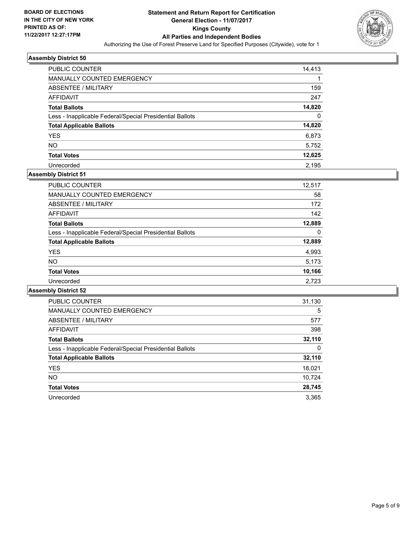

| <b>PUBLIC COUNTER</b>                                    | 14,413 |
|----------------------------------------------------------|--------|
| <b>MANUALLY COUNTED EMERGENCY</b>                        |        |
| ABSENTEE / MILITARY                                      | 159    |
| AFFIDAVIT                                                | 247    |
| <b>Total Ballots</b>                                     | 14,820 |
| Less - Inapplicable Federal/Special Presidential Ballots | 0      |
| <b>Total Applicable Ballots</b>                          | 14,820 |
| <b>YES</b>                                               | 6,873  |
| <b>NO</b>                                                | 5,752  |
| <b>Total Votes</b>                                       | 12,625 |
| Unrecorded                                               | 2.195  |

## **Assembly District 51**

| <b>PUBLIC COUNTER</b>                                    | 12,517 |
|----------------------------------------------------------|--------|
| <b>MANUALLY COUNTED EMERGENCY</b>                        | 58     |
| ABSENTEE / MILITARY                                      | 172    |
| AFFIDAVIT                                                | 142    |
| <b>Total Ballots</b>                                     | 12,889 |
| Less - Inapplicable Federal/Special Presidential Ballots | 0      |
| <b>Total Applicable Ballots</b>                          | 12,889 |
| <b>YES</b>                                               | 4,993  |
| <b>NO</b>                                                | 5,173  |
| <b>Total Votes</b>                                       | 10,166 |
| Unrecorded                                               | 2.723  |

| <b>PUBLIC COUNTER</b>                                    | 31,130 |
|----------------------------------------------------------|--------|
| <b>MANUALLY COUNTED EMERGENCY</b>                        | 5      |
| <b>ABSENTEE / MILITARY</b>                               | 577    |
| <b>AFFIDAVIT</b>                                         | 398    |
| <b>Total Ballots</b>                                     | 32,110 |
| Less - Inapplicable Federal/Special Presidential Ballots | 0      |
| <b>Total Applicable Ballots</b>                          | 32,110 |
| <b>YES</b>                                               | 18,021 |
| <b>NO</b>                                                | 10,724 |
| <b>Total Votes</b>                                       | 28,745 |
| Unrecorded                                               | 3.365  |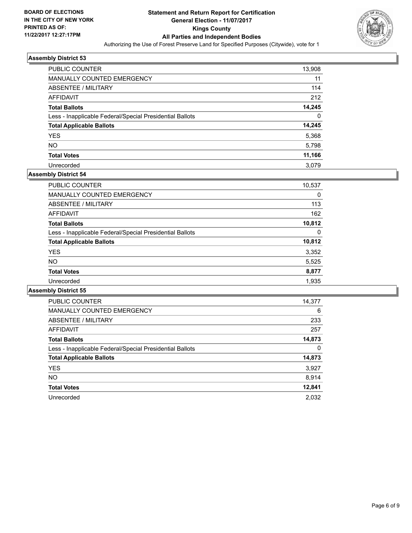

| <b>PUBLIC COUNTER</b>                                    | 13,908 |
|----------------------------------------------------------|--------|
| <b>MANUALLY COUNTED EMERGENCY</b>                        | 11     |
| ABSENTEE / MILITARY                                      | 114    |
| AFFIDAVIT                                                | 212    |
| <b>Total Ballots</b>                                     | 14,245 |
| Less - Inapplicable Federal/Special Presidential Ballots | 0      |
| <b>Total Applicable Ballots</b>                          | 14,245 |
| <b>YES</b>                                               | 5,368  |
| <b>NO</b>                                                | 5,798  |
| <b>Total Votes</b>                                       | 11,166 |
| Unrecorded                                               | 3.079  |

#### **Assembly District 54**

| <b>PUBLIC COUNTER</b>                                    | 10,537 |
|----------------------------------------------------------|--------|
| MANUALLY COUNTED EMERGENCY                               | 0      |
| ABSENTEE / MILITARY                                      | 113    |
| AFFIDAVIT                                                | 162    |
| <b>Total Ballots</b>                                     | 10,812 |
| Less - Inapplicable Federal/Special Presidential Ballots | 0      |
| <b>Total Applicable Ballots</b>                          | 10,812 |
| <b>YES</b>                                               | 3,352  |
| <b>NO</b>                                                | 5,525  |
| <b>Total Votes</b>                                       | 8,877  |
| Unrecorded                                               | 1,935  |

| <b>PUBLIC COUNTER</b>                                    | 14,377 |
|----------------------------------------------------------|--------|
| <b>MANUALLY COUNTED EMERGENCY</b>                        | 6      |
| ABSENTEE / MILITARY                                      | 233    |
| AFFIDAVIT                                                | 257    |
| <b>Total Ballots</b>                                     | 14,873 |
| Less - Inapplicable Federal/Special Presidential Ballots | 0      |
| <b>Total Applicable Ballots</b>                          | 14,873 |
| <b>YES</b>                                               | 3,927  |
| NO.                                                      | 8,914  |
| <b>Total Votes</b>                                       | 12,841 |
| Unrecorded                                               | 2.032  |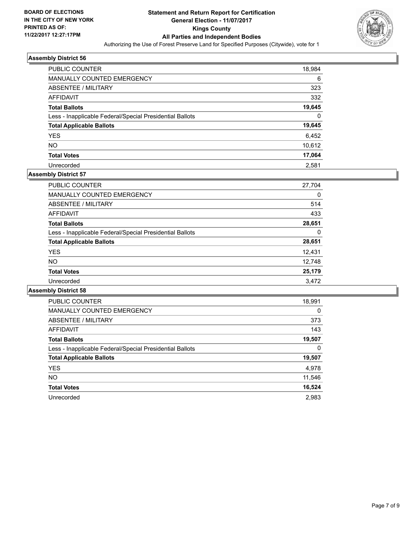

| <b>PUBLIC COUNTER</b>                                    | 18,984 |
|----------------------------------------------------------|--------|
| MANUALLY COUNTED EMERGENCY                               | 6      |
| ABSENTEE / MILITARY                                      | 323    |
| AFFIDAVIT                                                | 332    |
| <b>Total Ballots</b>                                     | 19,645 |
| Less - Inapplicable Federal/Special Presidential Ballots | 0      |
| <b>Total Applicable Ballots</b>                          | 19,645 |
| <b>YES</b>                                               | 6,452  |
| <b>NO</b>                                                | 10,612 |
| <b>Total Votes</b>                                       | 17,064 |
| Unrecorded                                               | 2.581  |

## **Assembly District 57**

| <b>PUBLIC COUNTER</b>                                    | 27,704 |
|----------------------------------------------------------|--------|
| <b>MANUALLY COUNTED EMERGENCY</b>                        | 0      |
| ABSENTEE / MILITARY                                      | 514    |
| AFFIDAVIT                                                | 433    |
| <b>Total Ballots</b>                                     | 28,651 |
| Less - Inapplicable Federal/Special Presidential Ballots | 0      |
| <b>Total Applicable Ballots</b>                          | 28,651 |
| <b>YES</b>                                               | 12,431 |
| <b>NO</b>                                                | 12,748 |
| <b>Total Votes</b>                                       | 25,179 |
| Unrecorded                                               | 3.472  |

| <b>PUBLIC COUNTER</b>                                    | 18,991 |
|----------------------------------------------------------|--------|
| <b>MANUALLY COUNTED EMERGENCY</b>                        | 0      |
| <b>ABSENTEE / MILITARY</b>                               | 373    |
| <b>AFFIDAVIT</b>                                         | 143    |
| <b>Total Ballots</b>                                     | 19,507 |
| Less - Inapplicable Federal/Special Presidential Ballots | 0      |
| <b>Total Applicable Ballots</b>                          | 19,507 |
| <b>YES</b>                                               | 4,978  |
| NO.                                                      | 11,546 |
| <b>Total Votes</b>                                       | 16,524 |
| Unrecorded                                               | 2.983  |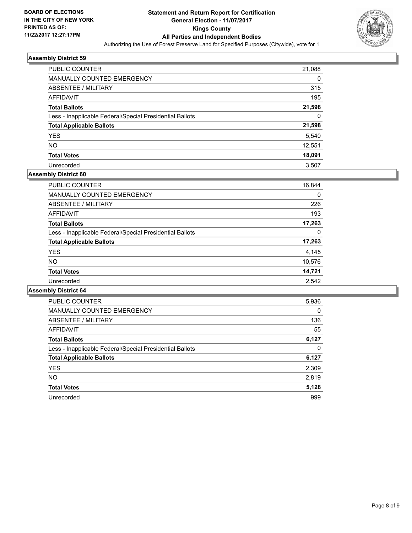

| <b>PUBLIC COUNTER</b>                                    | 21,088 |
|----------------------------------------------------------|--------|
| <b>MANUALLY COUNTED EMERGENCY</b>                        | 0      |
| ABSENTEE / MILITARY                                      | 315    |
| AFFIDAVIT                                                | 195    |
| <b>Total Ballots</b>                                     | 21,598 |
| Less - Inapplicable Federal/Special Presidential Ballots | 0      |
| <b>Total Applicable Ballots</b>                          | 21,598 |
| <b>YES</b>                                               | 5,540  |
| <b>NO</b>                                                | 12,551 |
| <b>Total Votes</b>                                       | 18,091 |
| Unrecorded                                               | 3.507  |

## **Assembly District 60**

| PUBLIC COUNTER                                           | 16,844 |
|----------------------------------------------------------|--------|
| MANUALLY COUNTED EMERGENCY                               | 0      |
| ABSENTEE / MILITARY                                      | 226    |
| AFFIDAVIT                                                | 193    |
| <b>Total Ballots</b>                                     | 17,263 |
| Less - Inapplicable Federal/Special Presidential Ballots | 0      |
| <b>Total Applicable Ballots</b>                          | 17,263 |
| <b>YES</b>                                               | 4,145  |
| <b>NO</b>                                                | 10,576 |
| <b>Total Votes</b>                                       | 14,721 |
| Unrecorded                                               | 2.542  |

| <b>PUBLIC COUNTER</b>                                    | 5,936 |
|----------------------------------------------------------|-------|
| <b>MANUALLY COUNTED EMERGENCY</b>                        | 0     |
| <b>ABSENTEE / MILITARY</b>                               | 136   |
| AFFIDAVIT                                                | 55    |
| <b>Total Ballots</b>                                     | 6,127 |
| Less - Inapplicable Federal/Special Presidential Ballots | 0     |
| <b>Total Applicable Ballots</b>                          | 6,127 |
| <b>YES</b>                                               | 2,309 |
| NO.                                                      | 2,819 |
| <b>Total Votes</b>                                       | 5,128 |
| Unrecorded                                               | 999   |